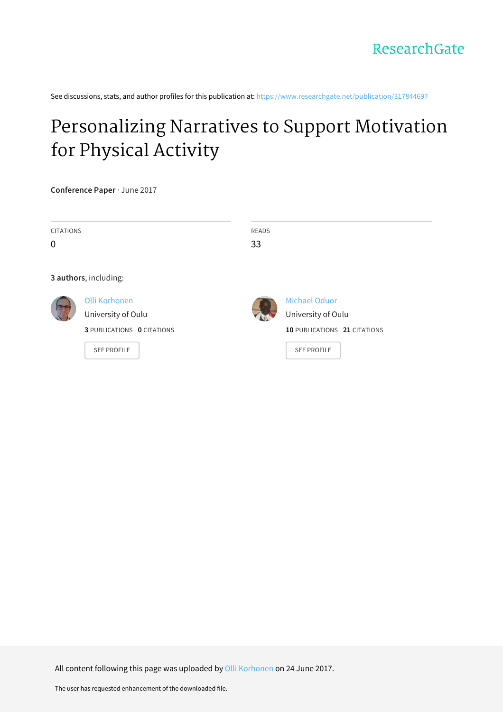See discussions, stats, and author profiles for this publication at: [https://www.researchgate.net/publication/317844697](https://www.researchgate.net/publication/317844697_Personalizing_Narratives_to_Support_Motivation_for_Physical_Activity?enrichId=rgreq-3b0006072d8e27eed6860ad569180d75-XXX&enrichSource=Y292ZXJQYWdlOzMxNzg0NDY5NztBUzo1MDg2NjQyNDM4Njc2NDhAMTQ5ODI4NjQxNDcyOA%3D%3D&el=1_x_2&_esc=publicationCoverPdf)

# [Personalizing](https://www.researchgate.net/publication/317844697_Personalizing_Narratives_to_Support_Motivation_for_Physical_Activity?enrichId=rgreq-3b0006072d8e27eed6860ad569180d75-XXX&enrichSource=Y292ZXJQYWdlOzMxNzg0NDY5NztBUzo1MDg2NjQyNDM4Njc2NDhAMTQ5ODI4NjQxNDcyOA%3D%3D&el=1_x_3&_esc=publicationCoverPdf) Narratives to Support Motivation for Physical Activity

**Conference Paper** · June 2017

| <b>CITATIONS</b> |                                   | <b>READS</b> |                              |
|------------------|-----------------------------------|--------------|------------------------------|
| $\mathbf 0$      |                                   | 33           |                              |
|                  |                                   |              |                              |
|                  | 3 authors, including:             |              |                              |
|                  | Olli Korhonen                     |              | Michael Oduor                |
|                  | University of Oulu                |              | University of Oulu           |
|                  | <b>3 PUBLICATIONS 0 CITATIONS</b> |              | 10 PUBLICATIONS 21 CITATIONS |
|                  | <b>SEE PROFILE</b>                |              | <b>SEE PROFILE</b>           |
|                  |                                   |              |                              |

All content following this page was uploaded by Olli [Korhonen](https://www.researchgate.net/profile/Olli_Korhonen?enrichId=rgreq-3b0006072d8e27eed6860ad569180d75-XXX&enrichSource=Y292ZXJQYWdlOzMxNzg0NDY5NztBUzo1MDg2NjQyNDM4Njc2NDhAMTQ5ODI4NjQxNDcyOA%3D%3D&el=1_x_10&_esc=publicationCoverPdf) on 24 June 2017.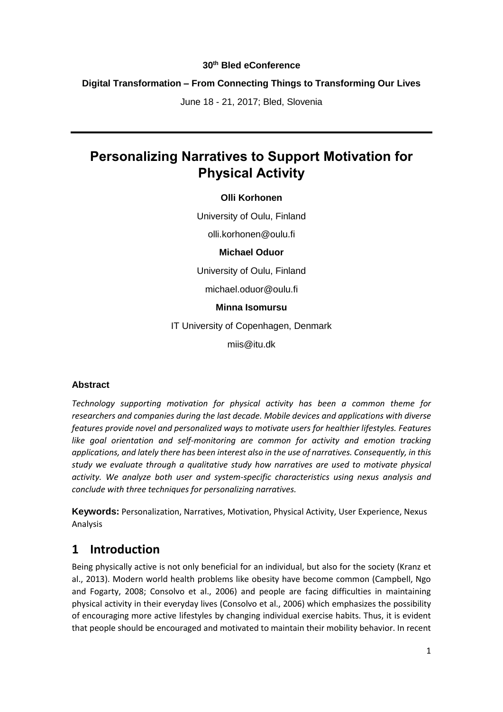#### **30th Bled eConference**

### **Digital Transformation – From Connecting Things to Transforming Our Lives**

June 18 - 21, 2017; Bled, Slovenia

# **Personalizing Narratives to Support Motivation for Physical Activity**

#### **Olli Korhonen**

University of Oulu, Finland

olli.korhonen@oulu.fi

#### **Michael Oduor**

University of Oulu, Finland

michael.oduor@oulu.fi

#### **Minna Isomursu**

IT University of Copenhagen, Denmark

miis@itu.dk

#### **Abstract**

*Technology supporting motivation for physical activity has been a common theme for researchers and companies during the last decade. Mobile devices and applications with diverse features provide novel and personalized ways to motivate users for healthier lifestyles. Features*  like goal orientation and self-monitoring are common for activity and emotion tracking *applications, and lately there has been interest also in the use of narratives. Consequently, in this study we evaluate through a qualitative study how narratives are used to motivate physical activity. We analyze both user and system-specific characteristics using nexus analysis and conclude with three techniques for personalizing narratives.*

**Keywords:** Personalization, Narratives, Motivation, Physical Activity, User Experience, Nexus Analysis

## **1 Introduction**

Being physically active is not only beneficial for an individual, but also for the society (Kranz et al., 2013). Modern world health problems like obesity have become common (Campbell, Ngo and Fogarty, 2008; Consolvo et al., 2006) and people are facing difficulties in maintaining physical activity in their everyday lives (Consolvo et al., 2006) which emphasizes the possibility of encouraging more active lifestyles by changing individual exercise habits. Thus, it is evident that people should be encouraged and motivated to maintain their mobility behavior. In recent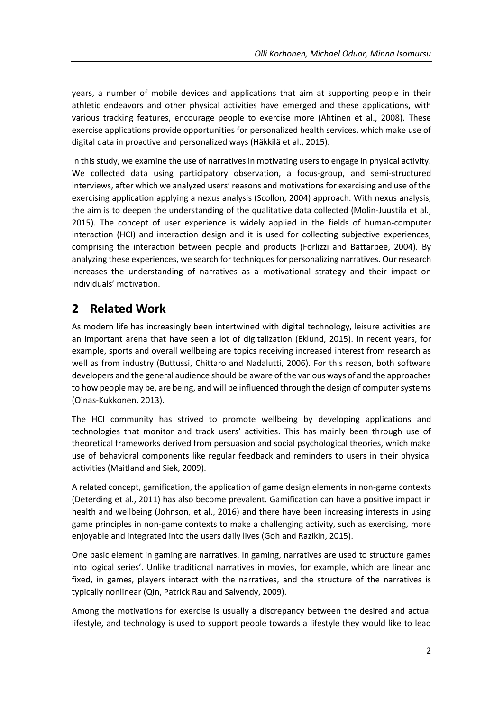years, a number of mobile devices and applications that aim at supporting people in their athletic endeavors and other physical activities have emerged and these applications, with various tracking features, encourage people to exercise more (Ahtinen et al., 2008). These exercise applications provide opportunities for personalized health services, which make use of digital data in proactive and personalized ways (Häkkilä et al., 2015).

In this study, we examine the use of narratives in motivating users to engage in physical activity. We collected data using participatory observation, a focus-group, and semi-structured interviews, after which we analyzed users' reasons and motivations for exercising and use of the exercising application applying a nexus analysis (Scollon, 2004) approach. With nexus analysis, the aim is to deepen the understanding of the qualitative data collected (Molin-Juustila et al., 2015). The concept of user experience is widely applied in the fields of human-computer interaction (HCI) and interaction design and it is used for collecting subjective experiences, comprising the interaction between people and products (Forlizzi and Battarbee, 2004). By analyzing these experiences, we search for techniques for personalizing narratives. Our research increases the understanding of narratives as a motivational strategy and their impact on individuals' motivation.

# **2 Related Work**

As modern life has increasingly been intertwined with digital technology, leisure activities are an important arena that have seen a lot of digitalization (Eklund, 2015). In recent years, for example, sports and overall wellbeing are topics receiving increased interest from research as well as from industry (Buttussi, Chittaro and Nadalutti, 2006). For this reason, both software developers and the general audience should be aware of the various ways of and the approaches to how people may be, are being, and will be influenced through the design of computer systems (Oinas-Kukkonen, 2013).

The HCI community has strived to promote wellbeing by developing applications and technologies that monitor and track users' activities. This has mainly been through use of theoretical frameworks derived from persuasion and social psychological theories, which make use of behavioral components like regular feedback and reminders to users in their physical activities (Maitland and Siek, 2009).

A related concept, gamification, the application of game design elements in non-game contexts (Deterding et al., 2011) has also become prevalent. Gamification can have a positive impact in health and wellbeing (Johnson, et al., 2016) and there have been increasing interests in using game principles in non-game contexts to make a challenging activity, such as exercising, more enjoyable and integrated into the users daily lives (Goh and Razikin, 2015).

One basic element in gaming are narratives. In gaming, narratives are used to structure games into logical series'. Unlike traditional narratives in movies, for example, which are linear and fixed, in games, players interact with the narratives, and the structure of the narratives is typically nonlinear (Qin, Patrick Rau and Salvendy, 2009).

Among the motivations for exercise is usually a discrepancy between the desired and actual lifestyle, and technology is used to support people towards a lifestyle they would like to lead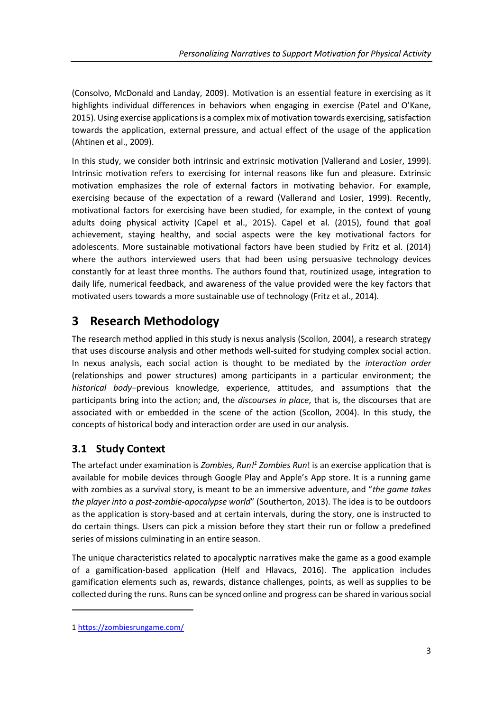(Consolvo, McDonald and Landay, 2009). Motivation is an essential feature in exercising as it highlights individual differences in behaviors when engaging in exercise (Patel and O'Kane, 2015). Using exercise applications is a complex mix of motivation towards exercising, satisfaction towards the application, external pressure, and actual effect of the usage of the application (Ahtinen et al., 2009).

In this study, we consider both intrinsic and extrinsic motivation (Vallerand and Losier, 1999). Intrinsic motivation refers to exercising for internal reasons like fun and pleasure. Extrinsic motivation emphasizes the role of external factors in motivating behavior. For example, exercising because of the expectation of a reward (Vallerand and Losier, 1999). Recently, motivational factors for exercising have been studied, for example, in the context of young adults doing physical activity (Capel et al., 2015). Capel et al. (2015), found that goal achievement, staying healthy, and social aspects were the key motivational factors for adolescents. More sustainable motivational factors have been studied by Fritz et al. (2014) where the authors interviewed users that had been using persuasive technology devices constantly for at least three months. The authors found that, routinized usage, integration to daily life, numerical feedback, and awareness of the value provided were the key factors that motivated users towards a more sustainable use of technology (Fritz et al., 2014).

# **3 Research Methodology**

The research method applied in this study is nexus analysis (Scollon, 2004), a research strategy that uses discourse analysis and other methods well-suited for studying complex social action. In nexus analysis, each social action is thought to be mediated by the *interaction order*  (relationships and power structures) among participants in a particular environment; the *historical body*–previous knowledge, experience, attitudes, and assumptions that the participants bring into the action; and, the *discourses in place*, that is, the discourses that are associated with or embedded in the scene of the action (Scollon, 2004). In this study, the concepts of historical body and interaction order are used in our analysis.

## **3.1 Study Context**

The artefact under examination is *Zombies, Run!<sup>1</sup> Zombies Run*! is an exercise application that is available for mobile devices through Google Play and Apple's App store. It is a running game with zombies as a survival story, is meant to be an immersive adventure, and "*the game takes the player into a post-zombie-apocalypse world*" (Southerton, 2013). The idea is to be outdoors as the application is story-based and at certain intervals, during the story, one is instructed to do certain things. Users can pick a mission before they start their run or follow a predefined series of missions culminating in an entire season.

The unique characteristics related to apocalyptic narratives make the game as a good example of a gamification-based application (Helf and Hlavacs, 2016). The application includes gamification elements such as, rewards, distance challenges, points, as well as supplies to be collected during the runs. Runs can be synced online and progress can be shared in various social

1

<sup>1</sup> <https://zombiesrungame.com/>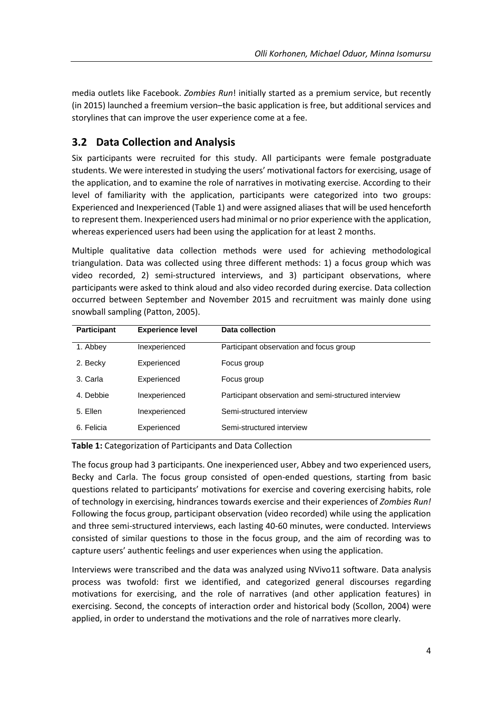media outlets like Facebook. *Zombies Run*! initially started as a premium service, but recently (in 2015) launched a freemium version–the basic application is free, but additional services and storylines that can improve the user experience come at a fee.

## **3.2 Data Collection and Analysis**

Six participants were recruited for this study. All participants were female postgraduate students. We were interested in studying the users' motivational factors for exercising, usage of the application, and to examine the role of narratives in motivating exercise. According to their level of familiarity with the application, participants were categorized into two groups: Experienced and Inexperienced (Table 1) and were assigned aliases that will be used henceforth to represent them. Inexperienced users had minimal or no prior experience with the application, whereas experienced users had been using the application for at least 2 months.

Multiple qualitative data collection methods were used for achieving methodological triangulation. Data was collected using three different methods: 1) a focus group which was video recorded, 2) semi-structured interviews, and 3) participant observations, where participants were asked to think aloud and also video recorded during exercise. Data collection occurred between September and November 2015 and recruitment was mainly done using snowball sampling (Patton, 2005).

| <b>Participant</b> | <b>Experience level</b> | <b>Data collection</b>                                |
|--------------------|-------------------------|-------------------------------------------------------|
| 1. Abbey           | Inexperienced           | Participant observation and focus group               |
| 2. Becky           | Experienced             | Focus group                                           |
| 3. Carla           | Experienced             | Focus group                                           |
| 4. Debbie          | Inexperienced           | Participant observation and semi-structured interview |
| 5. Ellen           | Inexperienced           | Semi-structured interview                             |
| 6. Felicia         | Experienced             | Semi-structured interview                             |

**Table 1:** Categorization of Participants and Data Collection

The focus group had 3 participants. One inexperienced user, Abbey and two experienced users, Becky and Carla. The focus group consisted of open-ended questions, starting from basic questions related to participants' motivations for exercise and covering exercising habits, role of technology in exercising, hindrances towards exercise and their experiences of *Zombies Run!* Following the focus group, participant observation (video recorded) while using the application and three semi-structured interviews, each lasting 40-60 minutes, were conducted. Interviews consisted of similar questions to those in the focus group, and the aim of recording was to capture users' authentic feelings and user experiences when using the application.

Interviews were transcribed and the data was analyzed using NVivo11 software. Data analysis process was twofold: first we identified, and categorized general discourses regarding motivations for exercising, and the role of narratives (and other application features) in exercising. Second, the concepts of interaction order and historical body (Scollon, 2004) were applied, in order to understand the motivations and the role of narratives more clearly.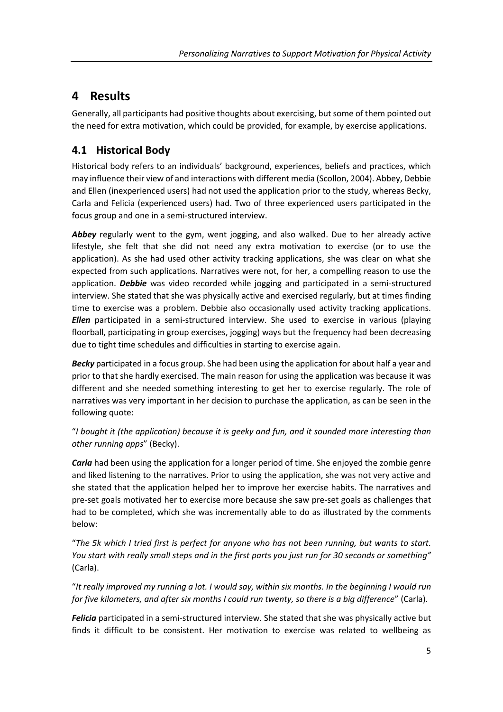# **4 Results**

Generally, all participants had positive thoughts about exercising, but some of them pointed out the need for extra motivation, which could be provided, for example, by exercise applications.

## **4.1 Historical Body**

Historical body refers to an individuals' background, experiences, beliefs and practices, which may influence their view of and interactions with different media (Scollon, 2004). Abbey, Debbie and Ellen (inexperienced users) had not used the application prior to the study, whereas Becky, Carla and Felicia (experienced users) had. Two of three experienced users participated in the focus group and one in a semi-structured interview.

*Abbey* regularly went to the gym, went jogging, and also walked. Due to her already active lifestyle, she felt that she did not need any extra motivation to exercise (or to use the application). As she had used other activity tracking applications, she was clear on what she expected from such applications. Narratives were not, for her, a compelling reason to use the application. *Debbie* was video recorded while jogging and participated in a semi-structured interview. She stated that she was physically active and exercised regularly, but at times finding time to exercise was a problem. Debbie also occasionally used activity tracking applications. *Ellen* participated in a semi-structured interview. She used to exercise in various (playing floorball, participating in group exercises, jogging) ways but the frequency had been decreasing due to tight time schedules and difficulties in starting to exercise again.

*Becky* participated in a focus group. She had been using the application for about half a year and prior to that she hardly exercised. The main reason for using the application was because it was different and she needed something interesting to get her to exercise regularly. The role of narratives was very important in her decision to purchase the application, as can be seen in the following quote:

#### "*I bought it (the application) because it is geeky and fun, and it sounded more interesting than other running apps*" (Becky).

*Carla* had been using the application for a longer period of time. She enjoyed the zombie genre and liked listening to the narratives. Prior to using the application, she was not very active and she stated that the application helped her to improve her exercise habits. The narratives and pre-set goals motivated her to exercise more because she saw pre-set goals as challenges that had to be completed, which she was incrementally able to do as illustrated by the comments below:

"*The 5k which I tried first is perfect for anyone who has not been running, but wants to start. You start with really small steps and in the first parts you just run for 30 seconds or something"*  (Carla).

"*It really improved my running a lot. I would say, within six months. In the beginning I would run for five kilometers, and after six months I could run twenty, so there is a big difference*" (Carla).

*Felicia* participated in a semi-structured interview. She stated that she was physically active but finds it difficult to be consistent. Her motivation to exercise was related to wellbeing as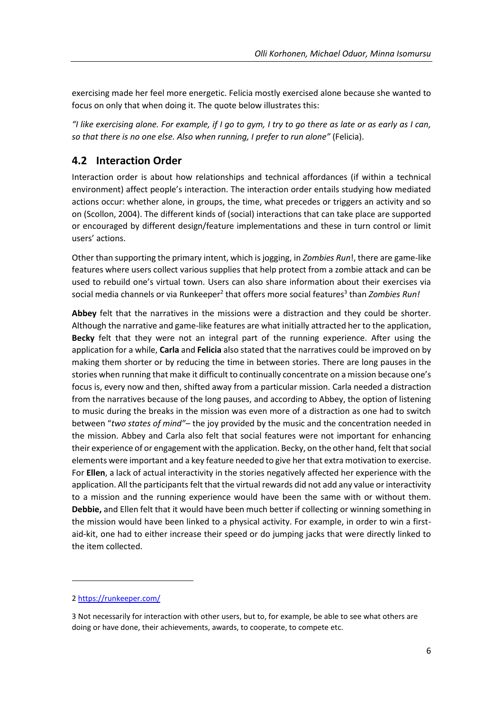exercising made her feel more energetic. Felicia mostly exercised alone because she wanted to focus on only that when doing it. The quote below illustrates this:

*"I like exercising alone. For example, if I go to gym, I try to go there as late or as early as I can, so that there is no one else. Also when running, I prefer to run alone"* (Felicia).

## **4.2 Interaction Order**

Interaction order is about how relationships and technical affordances (if within a technical environment) affect people's interaction. The interaction order entails studying how mediated actions occur: whether alone, in groups, the time, what precedes or triggers an activity and so on (Scollon, 2004). The different kinds of (social) interactions that can take place are supported or encouraged by different design/feature implementations and these in turn control or limit users' actions.

Other than supporting the primary intent, which is jogging, in *Zombies Run*!, there are game-like features where users collect various supplies that help protect from a zombie attack and can be used to rebuild one's virtual town. Users can also share information about their exercises via social media channels or via Runkeeper<sup>2</sup> that offers more social features<sup>3</sup> than *Zombies Run!* 

**Abbey** felt that the narratives in the missions were a distraction and they could be shorter. Although the narrative and game-like features are what initially attracted her to the application, **Becky** felt that they were not an integral part of the running experience. After using the application for a while, **Carla** and **Felicia** also stated that the narratives could be improved on by making them shorter or by reducing the time in between stories. There are long pauses in the stories when running that make it difficult to continually concentrate on a mission because one's focus is, every now and then, shifted away from a particular mission. Carla needed a distraction from the narratives because of the long pauses, and according to Abbey, the option of listening to music during the breaks in the mission was even more of a distraction as one had to switch between "*two states of mind"–* the joy provided by the music and the concentration needed in the mission. Abbey and Carla also felt that social features were not important for enhancing their experience of or engagement with the application. Becky, on the other hand, felt that social elements were important and a key feature needed to give her that extra motivation to exercise. For **Ellen**, a lack of actual interactivity in the stories negatively affected her experience with the application. All the participants felt that the virtual rewards did not add any value or interactivity to a mission and the running experience would have been the same with or without them. **Debbie,** and Ellen felt that it would have been much better if collecting or winning something in the mission would have been linked to a physical activity. For example, in order to win a firstaid-kit, one had to either increase their speed or do jumping jacks that were directly linked to the item collected.

-

<sup>2</sup> <https://runkeeper.com/>

<sup>3</sup> Not necessarily for interaction with other users, but to, for example, be able to see what others are doing or have done, their achievements, awards, to cooperate, to compete etc.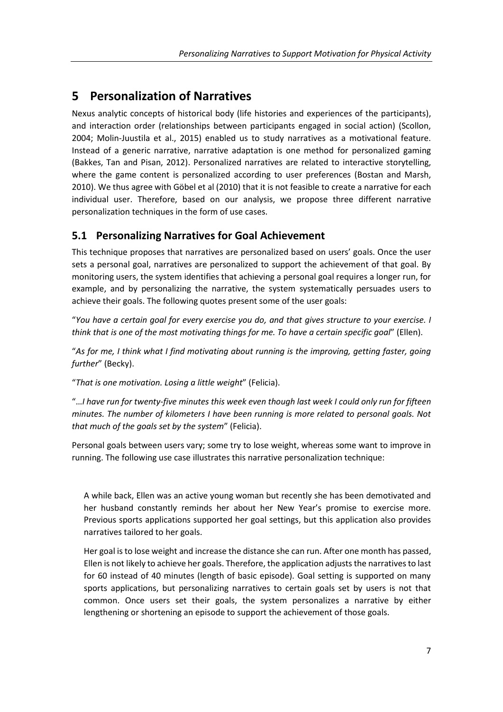# **5 Personalization of Narratives**

Nexus analytic concepts of historical body (life histories and experiences of the participants), and interaction order (relationships between participants engaged in social action) (Scollon, 2004; Molin-Juustila et al., 2015) enabled us to study narratives as a motivational feature. Instead of a generic narrative, narrative adaptation is one method for personalized gaming (Bakkes, Tan and Pisan, 2012). Personalized narratives are related to interactive storytelling, where the game content is personalized according to user preferences (Bostan and Marsh, 2010). We thus agree with Göbel et al (2010) that it is not feasible to create a narrative for each individual user. Therefore, based on our analysis, we propose three different narrative personalization techniques in the form of use cases.

## **5.1 Personalizing Narratives for Goal Achievement**

This technique proposes that narratives are personalized based on users' goals. Once the user sets a personal goal, narratives are personalized to support the achievement of that goal. By monitoring users, the system identifies that achieving a personal goal requires a longer run, for example, and by personalizing the narrative, the system systematically persuades users to achieve their goals. The following quotes present some of the user goals:

"*You have a certain goal for every exercise you do, and that gives structure to your exercise. I think that is one of the most motivating things for me. To have a certain specific goal*" (Ellen).

"*As for me, I think what I find motivating about running is the improving, getting faster, going further*" (Becky).

"*That is one motivation. Losing a little weight*" (Felicia).

"…*I have run for twenty-five minutes this week even though last week I could only run for fifteen minutes. The number of kilometers I have been running is more related to personal goals. Not that much of the goals set by the system*" (Felicia).

Personal goals between users vary; some try to lose weight, whereas some want to improve in running. The following use case illustrates this narrative personalization technique:

A while back, Ellen was an active young woman but recently she has been demotivated and her husband constantly reminds her about her New Year's promise to exercise more. Previous sports applications supported her goal settings, but this application also provides narratives tailored to her goals.

Her goal is to lose weight and increase the distance she can run. After one month has passed, Ellen is not likely to achieve her goals. Therefore, the application adjusts the narratives to last for 60 instead of 40 minutes (length of basic episode). Goal setting is supported on many sports applications, but personalizing narratives to certain goals set by users is not that common. Once users set their goals, the system personalizes a narrative by either lengthening or shortening an episode to support the achievement of those goals.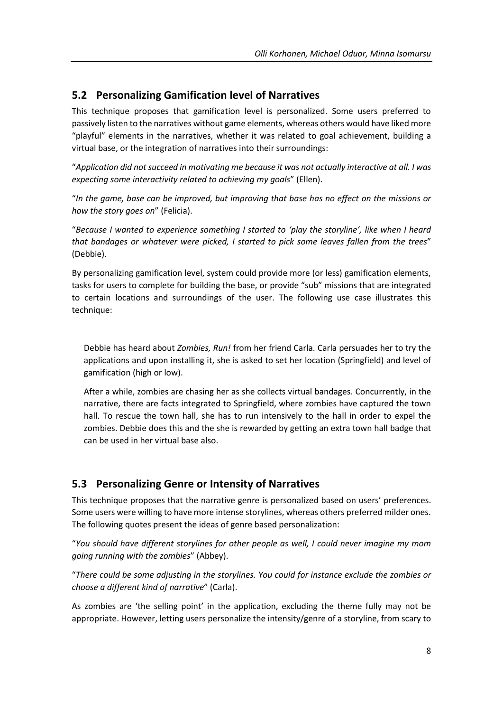## **5.2 Personalizing Gamification level of Narratives**

This technique proposes that gamification level is personalized. Some users preferred to passively listen to the narratives without game elements, whereas others would have liked more "playful" elements in the narratives, whether it was related to goal achievement, building a virtual base, or the integration of narratives into their surroundings:

"*Application did not succeed in motivating me because it was not actually interactive at all. I was expecting some interactivity related to achieving my goals*" (Ellen).

"*In the game, base can be improved, but improving that base has no effect on the missions or how the story goes on*" (Felicia).

"*Because I wanted to experience something I started to 'play the storyline', like when I heard that bandages or whatever were picked, I started to pick some leaves fallen from the trees*" (Debbie).

By personalizing gamification level, system could provide more (or less) gamification elements, tasks for users to complete for building the base, or provide "sub" missions that are integrated to certain locations and surroundings of the user. The following use case illustrates this technique:

Debbie has heard about *Zombies, Run!* from her friend Carla. Carla persuades her to try the applications and upon installing it, she is asked to set her location (Springfield) and level of gamification (high or low).

After a while, zombies are chasing her as she collects virtual bandages. Concurrently, in the narrative, there are facts integrated to Springfield, where zombies have captured the town hall. To rescue the town hall, she has to run intensively to the hall in order to expel the zombies. Debbie does this and the she is rewarded by getting an extra town hall badge that can be used in her virtual base also.

## **5.3 Personalizing Genre or Intensity of Narratives**

This technique proposes that the narrative genre is personalized based on users' preferences. Some users were willing to have more intense storylines, whereas others preferred milder ones. The following quotes present the ideas of genre based personalization:

"*You should have different storylines for other people as well, I could never imagine my mom going running with the zombies*" (Abbey).

"*There could be some adjusting in the storylines. You could for instance exclude the zombies or choose a different kind of narrative*" (Carla).

As zombies are 'the selling point' in the application, excluding the theme fully may not be appropriate. However, letting users personalize the intensity/genre of a storyline, from scary to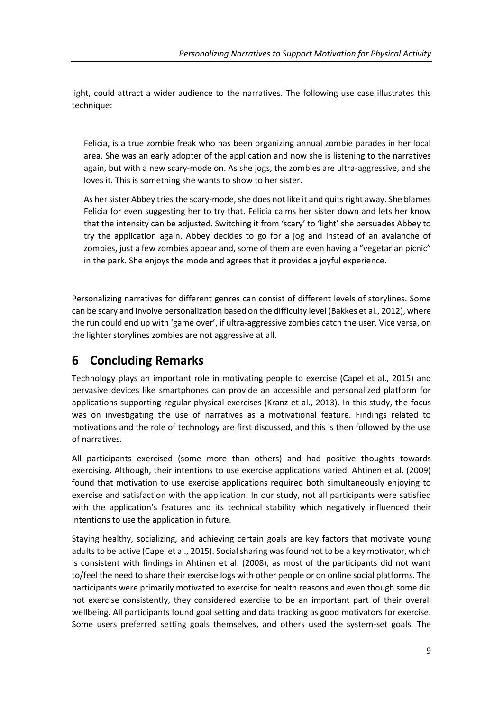light, could attract a wider audience to the narratives. The following use case illustrates this technique:

Felicia, is a true zombie freak who has been organizing annual zombie parades in her local area. She was an early adopter of the application and now she is listening to the narratives again, but with a new scary-mode on. As she jogs, the zombies are ultra-aggressive, and she loves it. This is something she wants to show to her sister.

As her sister Abbey tries the scary-mode, she does not like it and quits right away. She blames Felicia for even suggesting her to try that. Felicia calms her sister down and lets her know that the intensity can be adjusted. Switching it from 'scary' to 'light' she persuades Abbey to try the application again. Abbey decides to go for a jog and instead of an avalanche of zombies, just a few zombies appear and, some of them are even having a "vegetarian picnic" in the park. She enjoys the mode and agrees that it provides a joyful experience.

Personalizing narratives for different genres can consist of different levels of storylines. Some can be scary and involve personalization based on the difficulty level (Bakkes et al., 2012), where the run could end up with 'game over', if ultra-aggressive zombies catch the user. Vice versa, on the lighter storylines zombies are not aggressive at all.

# **6 Concluding Remarks**

Technology plays an important role in motivating people to exercise (Capel et al., 2015) and pervasive devices like smartphones can provide an accessible and personalized platform for applications supporting regular physical exercises (Kranz et al., 2013). In this study, the focus was on investigating the use of narratives as a motivational feature. Findings related to motivations and the role of technology are first discussed, and this is then followed by the use of narratives.

All participants exercised (some more than others) and had positive thoughts towards exercising. Although, their intentions to use exercise applications varied. Ahtinen et al. (2009) found that motivation to use exercise applications required both simultaneously enjoying to exercise and satisfaction with the application. In our study, not all participants were satisfied with the application's features and its technical stability which negatively influenced their intentions to use the application in future.

Staying healthy, socializing, and achieving certain goals are key factors that motivate young adults to be active (Capel et al., 2015). Social sharing was found not to be a key motivator, which is consistent with findings in Ahtinen et al. (2008), as most of the participants did not want to/feel the need to share their exercise logs with other people or on online social platforms. The participants were primarily motivated to exercise for health reasons and even though some did not exercise consistently, they considered exercise to be an important part of their overall wellbeing. All participants found goal setting and data tracking as good motivators for exercise. Some users preferred setting goals themselves, and others used the system-set goals. The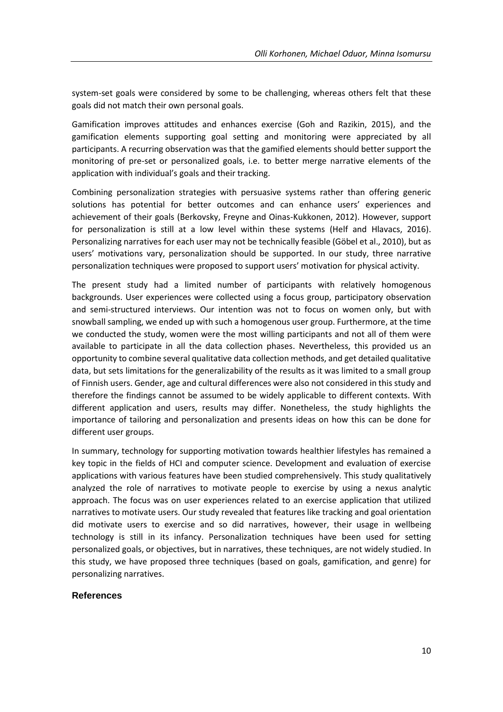system-set goals were considered by some to be challenging, whereas others felt that these goals did not match their own personal goals.

Gamification improves attitudes and enhances exercise (Goh and Razikin, 2015), and the gamification elements supporting goal setting and monitoring were appreciated by all participants. A recurring observation was that the gamified elements should better support the monitoring of pre-set or personalized goals, i.e. to better merge narrative elements of the application with individual's goals and their tracking.

Combining personalization strategies with persuasive systems rather than offering generic solutions has potential for better outcomes and can enhance users' experiences and achievement of their goals (Berkovsky, Freyne and Oinas-Kukkonen, 2012). However, support for personalization is still at a low level within these systems (Helf and Hlavacs, 2016). Personalizing narratives for each user may not be technically feasible (Göbel et al., 2010), but as users' motivations vary, personalization should be supported. In our study, three narrative personalization techniques were proposed to support users' motivation for physical activity.

The present study had a limited number of participants with relatively homogenous backgrounds. User experiences were collected using a focus group, participatory observation and semi-structured interviews. Our intention was not to focus on women only, but with snowball sampling, we ended up with such a homogenous user group. Furthermore, at the time we conducted the study, women were the most willing participants and not all of them were available to participate in all the data collection phases. Nevertheless, this provided us an opportunity to combine several qualitative data collection methods, and get detailed qualitative data, but sets limitations for the generalizability of the results as it was limited to a small group of Finnish users. Gender, age and cultural differences were also not considered in this study and therefore the findings cannot be assumed to be widely applicable to different contexts. With different application and users, results may differ. Nonetheless, the study highlights the importance of tailoring and personalization and presents ideas on how this can be done for different user groups.

In summary, technology for supporting motivation towards healthier lifestyles has remained a key topic in the fields of HCI and computer science. Development and evaluation of exercise applications with various features have been studied comprehensively. This study qualitatively analyzed the role of narratives to motivate people to exercise by using a nexus analytic approach. The focus was on user experiences related to an exercise application that utilized narratives to motivate users. Our study revealed that features like tracking and goal orientation did motivate users to exercise and so did narratives, however, their usage in wellbeing technology is still in its infancy. Personalization techniques have been used for setting personalized goals, or objectives, but in narratives, these techniques, are not widely studied. In this study, we have proposed three techniques (based on goals, gamification, and genre) for personalizing narratives.

#### **References**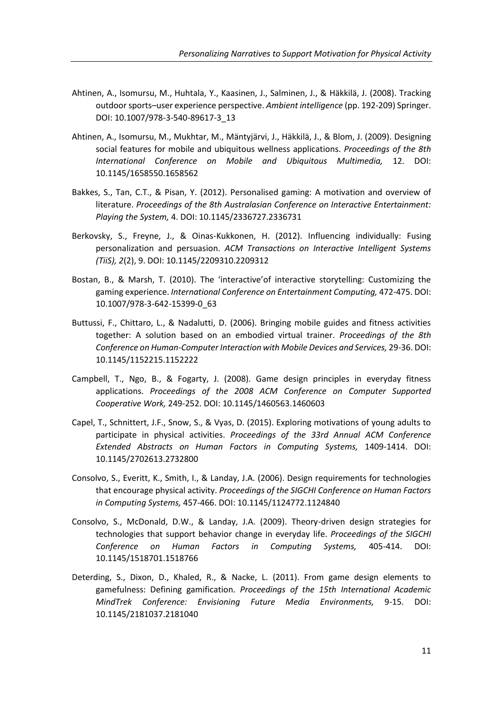- Ahtinen, A., Isomursu, M., Huhtala, Y., Kaasinen, J., Salminen, J., & Häkkilä, J. (2008). Tracking outdoor sports–user experience perspective. *Ambient intelligence* (pp. 192-209) Springer. DOI: 10.1007/978-3-540-89617-3\_13
- Ahtinen, A., Isomursu, M., Mukhtar, M., Mäntyjärvi, J., Häkkilä, J., & Blom, J. (2009). Designing social features for mobile and ubiquitous wellness applications. *Proceedings of the 8th International Conference on Mobile and Ubiquitous Multimedia,* 12. DOI: 10.1145/1658550.1658562
- Bakkes, S., Tan, C.T., & Pisan, Y. (2012). Personalised gaming: A motivation and overview of literature. *Proceedings of the 8th Australasian Conference on Interactive Entertainment: Playing the System,* 4. DOI: 10.1145/2336727.2336731
- Berkovsky, S., Freyne, J., & Oinas-Kukkonen, H. (2012). Influencing individually: Fusing personalization and persuasion. *ACM Transactions on Interactive Intelligent Systems (TiiS), 2*(2), 9. DOI: 10.1145/2209310.2209312
- Bostan, B., & Marsh, T. (2010). The 'interactive'of interactive storytelling: Customizing the gaming experience. *International Conference on Entertainment Computing,* 472-475. DOI: 10.1007/978-3-642-15399-0\_63
- Buttussi, F., Chittaro, L., & Nadalutti, D. (2006). Bringing mobile guides and fitness activities together: A solution based on an embodied virtual trainer. *Proceedings of the 8th Conference on Human-Computer Interaction with Mobile Devices and Services,* 29-36. DOI: 10.1145/1152215.1152222
- Campbell, T., Ngo, B., & Fogarty, J. (2008). Game design principles in everyday fitness applications. *Proceedings of the 2008 ACM Conference on Computer Supported Cooperative Work,* 249-252. DOI: 10.1145/1460563.1460603
- Capel, T., Schnittert, J.F., Snow, S., & Vyas, D. (2015). Exploring motivations of young adults to participate in physical activities. *Proceedings of the 33rd Annual ACM Conference Extended Abstracts on Human Factors in Computing Systems,* 1409-1414. DOI: 10.1145/2702613.2732800
- Consolvo, S., Everitt, K., Smith, I., & Landay, J.A. (2006). Design requirements for technologies that encourage physical activity. *Proceedings of the SIGCHI Conference on Human Factors in Computing Systems,* 457-466. DOI: 10.1145/1124772.1124840
- Consolvo, S., McDonald, D.W., & Landay, J.A. (2009). Theory-driven design strategies for technologies that support behavior change in everyday life. *Proceedings of the SIGCHI Conference on Human Factors in Computing Systems,* 405-414. DOI: 10.1145/1518701.1518766
- Deterding, S., Dixon, D., Khaled, R., & Nacke, L. (2011). From game design elements to gamefulness: Defining gamification. *Proceedings of the 15th International Academic MindTrek Conference: Envisioning Future Media Environments,* 9-15. DOI: 10.1145/2181037.2181040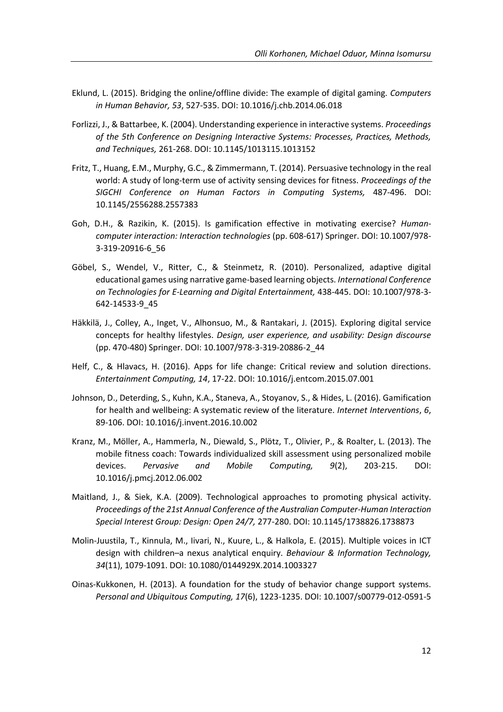- Eklund, L. (2015). Bridging the online/offline divide: The example of digital gaming. *Computers in Human Behavior, 53*, 527-535. DOI: 10.1016/j.chb.2014.06.018
- Forlizzi, J., & Battarbee, K. (2004). Understanding experience in interactive systems. *Proceedings of the 5th Conference on Designing Interactive Systems: Processes, Practices, Methods, and Techniques,* 261-268. DOI: 10.1145/1013115.1013152
- Fritz, T., Huang, E.M., Murphy, G.C., & Zimmermann, T. (2014). Persuasive technology in the real world: A study of long-term use of activity sensing devices for fitness. *Proceedings of the SIGCHI Conference on Human Factors in Computing Systems,* 487-496. DOI: 10.1145/2556288.2557383
- Goh, D.H., & Razikin, K. (2015). Is gamification effective in motivating exercise? *Humancomputer interaction: Interaction technologies* (pp. 608-617) Springer. DOI: 10.1007/978- 3-319-20916-6\_56
- Göbel, S., Wendel, V., Ritter, C., & Steinmetz, R. (2010). Personalized, adaptive digital educational games using narrative game-based learning objects. *International Conference on Technologies for E-Learning and Digital Entertainment,* 438-445. DOI: 10.1007/978-3- 642-14533-9\_45
- Häkkilä, J., Colley, A., Inget, V., Alhonsuo, M., & Rantakari, J. (2015). Exploring digital service concepts for healthy lifestyles. *Design, user experience, and usability: Design discourse* (pp. 470-480) Springer. DOI: 10.1007/978-3-319-20886-2\_44
- Helf, C., & Hlavacs, H. (2016). Apps for life change: Critical review and solution directions. *Entertainment Computing, 14*, 17-22. DOI: 10.1016/j.entcom.2015.07.001
- Johnson, D., Deterding, S., Kuhn, K.A., Staneva, A., Stoyanov, S., & Hides, L. (2016). Gamification for health and wellbeing: A systematic review of the literature. *Internet Interventions*, *6*, 89-106. DOI: 10.1016/j.invent.2016.10.002
- Kranz, M., Möller, A., Hammerla, N., Diewald, S., Plötz, T., Olivier, P., & Roalter, L. (2013). The mobile fitness coach: Towards individualized skill assessment using personalized mobile devices. *Pervasive and Mobile Computing, 9*(2), 203-215. DOI: 10.1016/j.pmcj.2012.06.002
- Maitland, J., & Siek, K.A. (2009). Technological approaches to promoting physical activity. *Proceedings of the 21st Annual Conference of the Australian Computer-Human Interaction Special Interest Group: Design: Open 24/7,* 277-280. DOI: 10.1145/1738826.1738873
- Molin-Juustila, T., Kinnula, M., Iivari, N., Kuure, L., & Halkola, E. (2015). Multiple voices in ICT design with children–a nexus analytical enquiry. *Behaviour & Information Technology, 34*(11), 1079-1091. DOI: 10.1080/0144929X.2014.1003327
- Oinas-Kukkonen, H. (2013). A foundation for the study of behavior change support systems. *Personal and Ubiquitous Computing, 17*(6), 1223-1235. DOI: 10.1007/s00779-012-0591-5